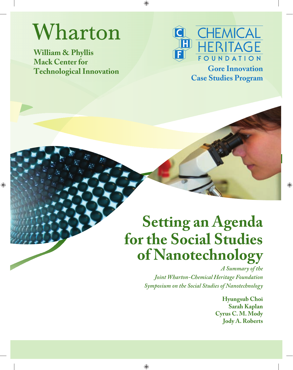# Wharton

**William & Phyllis Mack Center for Technological Innovation Gore Innovation** 



**Case Studies Program**

## **Setting an Agenda for the Social Studies of Nanotechnology**

*A Summary of the Joint Wharton-Chemical Heritage Foundation Symposium on the Social Studies of Nanotechnology*

> **Hyungsub Choi Sarah Kaplan Cyrus C. M. Mody Jody A. Roberts**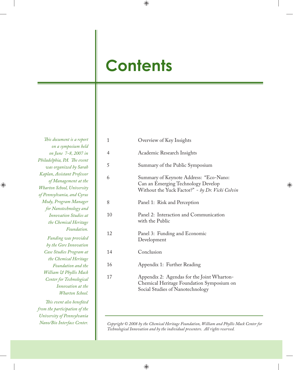## **Contents**

*This document is a report on a symposium held on June 7-8, 2007 in*  Philadelphia, PA. The event *was organized by Sarah Kaplan, Assistant Professor of Management at the Wharton School, University of Pennsylvania, and Cyrus Mody, Program Manager for Nanotechnology and Innovation Studies at the Chemical Heritage Foundation. Funding was provided by the Gore Innovation Case Studies Program at the Chemical Heritage Foundation and the William & Phyllis Mack Center for Technological* 

*Innovation at the Wharton School. Th is event also benefi ted from the participation of the University of Pennsylvania Nano/Bio Interface Center.*

| $\mathbf{1}$ | Overview of Key Insights                                                                                                        |
|--------------|---------------------------------------------------------------------------------------------------------------------------------|
| 4            | Academic Research Insights                                                                                                      |
| 5            | Summary of the Public Symposium                                                                                                 |
| 6            | Summary of Keynote Address: "Eco-Nano:<br>Can an Emerging Technology Develop<br>Without the Yuck Factor?" - by Dr. Vicki Colvin |
| 8            | Panel 1: Risk and Perception                                                                                                    |
| 10           | Panel 2: Interaction and Communication<br>with the Public                                                                       |
| 12           | Panel 3: Funding and Economic<br>Development                                                                                    |
| 14           | Conclusion                                                                                                                      |
| 16           | Appendix 1: Further Reading                                                                                                     |
| 17           | Appendix 2: Agendas for the Joint Wharton-<br>Chemical Heritage Foundation Symposium on<br>Social Studies of Nanotechnology     |

*Copyright © 2008 by the Chemical Heritage Foundation, William and Phyllis Mack Center for Technological Innovation and by the individual presenters. All rights reserved.*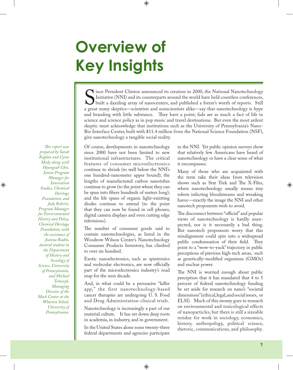# **Overview of Key Insights**

S ince President Clinton announced its creation in 2000, the National Nanotechnology<br>Initiative (NNI) and its counterparts around the world have held countless conferences,<br>built a dazzling array of nanocenters, and publis Initiative (NNI) and its counterparts around the world have held countless conferences, built a dazzling array of nanocenters, and published a forest's worth of reports. Still a great many skeptics—scientists and nonscientists alike—say that nanotechnology is hype and branding with little substance. They have a point; fads are as much a fact of life in science and science policy as in pop music and travel destinations. But even the most ardent skeptic must acknowledge that institutions such as the University of Pennsylvania's Nano-Bio Interface Center, built with \$11.4 million from the National Science Foundation (NSF), give nanotechnology a tangible social reality.

*Th is report was prepared by Sarah Kaplan and Cyrus Mody along with Hyungsub Choi, Senior Program Manager for Innovation Studies, Chemical Heritage Foundation, and Jody Roberts, Program Manager for Environmental History and Policy, Chemical Heritage Foundation; with the assistance of Joanna Radin, doctoral student in the Department of History and Sociology of Science, University of Pennsylvania, and Michael Tomczyk, Managing Director of the Mack Center at ehe Wharton School, University of Pennsylvania.* 

Of course, developments in nanotechnology since 2000 have not been limited to new institutional infrastructures. The critical features of consumer microelectronics continue to shrink (to well below the NNI's one hundred-nanometer upper bound); the lengths of manufactured carbon nanotubes continue to grow (to the point where they can be spun into fibers hundreds of meters long); and the life spans of organic light-emitting diodes continue to extend (to the point that they can now be found in cell phones, digital camera displays and even cutting edge televisions).

The number of consumer goods said to contain nanotechnologies, as listed in the Woodrow Wilson Center's Nanotechnology Consumer Products Inventory, has climbed to over six hundred.

Exotic nanoelectronics, such as spintronics and molecular electronics, are now officially part of the microelectronics industry's road map for the next decade.

And, in what could be a persuasive "killer app," the first nanotechnology-based cancer therapies are undergoing U. S. Food and Drug Administration clinical trials.

Nanotechnology is increasingly a part of our material culture. It has set down deep roots in academia, in industry, and in government.

In the United States alone some twenty-three federal departments and agencies participate in the NNI. Yet public opinion surveys show that relatively few Americans have heard of nanotechnology or have a clear sense of what it encompasses.

Many of those who are acquainted with the term take their ideas from television shows such as Star Trek and The X-Files, where nanotechnology usually means tiny robots infecting bloodstreams and wreaking havoc—exactly the image the NNI and other nanotech proponents wish to avoid.

The disconnect between "official" and popular views of nanotechnology is hardly unexpected, nor is it necessarily a bad thing. But nanotech proponents worry that this misalignment could spin into a widespread public condemnation of their field. They point to a "wow-to-yuck" trajectory in public perceptions of previous high-tech areas, such as genetically-modified organisms (GMOs) and nuclear power.

The NNI is worried enough about public perception that it has mandated that 4 to 5 percent of federal nanotechnology funding be set aside for research on nano's "societal dimensions" (ethical, legal, and social issues, or ELSI). Much of this money goes to research on environmental and toxicological effects of nanoparticles, but there is still a sizeable residue for work in sociology, economics, history, anthropology, political science, rhetoric, communications, and philosophy.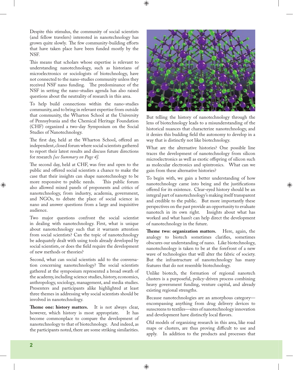Despite this stimulus, the community of social scientists (and fellow travelers) interested in nanotechnology has grown quite slowly. The few community-building efforts that have taken place have been funded mostly by the NSF.

This means that scholars whose expertise is relevant to understanding nanotechnology, such as historians of microelectronics or sociologists of biotechnology, have not connected to the nano-studies community unless they received NSF nano funding. The predominance of the NSF in setting the nano-studies agenda has also raised questions about the neutrality of research in this area.

To help build connections within the nano-studies community, and to bring in relevant expertise from outside that community, the Wharton School at the University of Pennsylvania and the Chemical Heritage Foundation (CHF) organized a two-day Symposium on the Social Studies of Nanotechnology.

The first day, held at the Wharton School, offered an independent, closed forum where social scientists gathered to report their latest results and discuss future directions for research *[see Summary on Page 4].*

The second day, held at CHF, was free and open to the public and offered social scientists a chance to make the case that their insights can shape nanotechnology to be more responsive to public needs. This public forum also allowed mixed panels of proponents and critics of nanotechnology, from industry, academia, government, and NGOs, to debate the place of social science in nano and answer questions from a large and inquisitive audience.

Two major questions confront the social scientist in dealing with nanotechnology. First, what is unique about nanotechnology such that it warrants attention from social scientists? Can the topic of nanotechnology be adequately dealt with using tools already developed by social scientists, or does the field require the development of new methods or theories?

Second, what can social scientists add to the conversation concerning nanotechnology? The social scientists gathered at the symposium represented a broad swath of the academy, including science studies, history, economics, anthropology, sociology, management, and media studies. Presenters and participants alike highlighted at least three themes in addressing why social scientists should be involved in nanotechnology.

**Theme one: history matters.** It is not always clear, however, which history is most appropriate. It has become commonplace to compare the development of nanotechnology to that of biotechnology. And indeed, as the participants noted, there are some striking similarities.



But telling the history of nanotechnology through the lens of biotechnology leads to a misunderstanding of the historical nuances that characterize nanotechnology, and it denies this budding field the autonomy to develop in a way that is distinctly not like biotechnology.

What are the alternative histories? One possible line traces the development of nanotechnology from silicon microelectronics as well as exotic offspring of silicon such as molecular electronics and spintronics. What can we gain from these alternative histories?

To begin with, we gain a better understanding of how nanotechnology came into being and the justifications offered for its existence. Clear-eyed history should be an integral part of nanotechnology's making itself transparent and credible to the public. But more importantly these perspectives on the past provide an opportunity to evaluate nanotech in its own right. Insights about what has worked and what hasn't can help direct the development of nanotechnology in the future.

**Theme two: organization matters.** Here, again, the analogy to biotech sometimes clarifies, sometimes obscures our understanding of nano. Like biotechnology, nanotechnology is taken to be at the forefront of a new wave of technologies that will alter the fabric of society. But the infrastructure of nanotechnology has many features that do not resemble biotechnology.

Unlike biotech, the formation of regional nanotech clusters is a purposeful, policy-driven process combining heavy government funding, venture capital, and already existing regional strengths.

Because nanotechnologies are an amorphous category encompassing anything from drug delivery devices to sunscreens to textiles—sites of nanotechnology innovation and development have distinctly local flavors.

Old models of organizing research in this area, like road maps or clusters, are thus proving difficult to use and apply. In addition to the products and processes that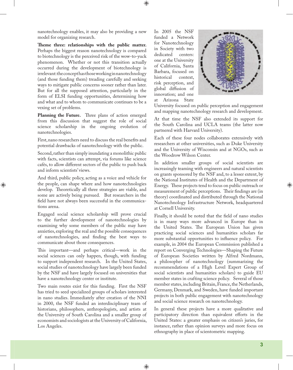nanotechnology enables, it may also be providing a new model for organizing research.

Theme three: relationships with the public matter. Perhaps the biggest reason nanotechnology is compared to biotechnology is the perceived risk of the wow-to-yuck phenomenon. Whether or not this transition actually occurred during the development of biotechnology is irrelevant: the concept has those working in nanotechnology (and those funding them) treading carefully and seeking ways to mitigate public concerns sooner rather than later. But for all the supposed attention, particularly in the form of ELSI funding opportunities, determining how and what and to whom to communicate continues to be a vexing set of problems.

Planning the Future. Three plans of action emerged from this discussion that suggest the role of social science scholarship in the ongoing evolution of nanotechnologies.

First, nano researchers need to discuss the real benefits and potential drawbacks of nanotechnology with the public.

Second, rather than simply inundating a monolithic public with facts, scientists can attempt, via forums like science cafés, to allow different sectors of the public to push back and inform scientists' views.

And third, public policy, acting as a voice and vehicle for the people, can shape where and how nanotechnologies develop. Theoretically all three strategies are viable, and some are actively being pursued. But researchers in the field have not always been successful in the communications arena.

Engaged social science scholarship will prove crucial to the further development of nanotechnologies by examining why some members of the public may have anxieties, exploring the real and the possible consequences of nanotechnologies, and finding the best ways to communicate about those consequences.

This important—and perhaps critical—work in the social sciences can only happen, though, with funding to support independent research. In the United States, social studies of nanotechnology have largely been funded by the NSF and have largely focused on universities that have a nanotechnology center or institute.

Two main routes exist for this funding. First the NSF has tried to seed specialized groups of scholars interested in nano studies. Immediately after creation of the NNI in 2000, the NSF funded an interdisciplinary team of historians, philosophers, anthropologists, and artists at the University of South Carolina and a smaller group of economists and sociologists at the University of California, Los Angeles.

In 2005 the NSF funded a Network for Nanotechnology in Society with two dedicated centers: one at the University of California, Santa Barbara, focused on historical context. risk perception, and global diffusion of innovation; and one at Arizona State



University focused on public perception and engagement and mapping nanotechnology research and development.

At that time the NSF also extended its support for the South Carolina and UCLA teams (the latter now partnered with Harvard University).

Each of these four nodes collaborates extensively with researchers at other universities, such as Duke University and the University of Wisconsin and at NGOs, such as the Woodrow Wilson Center.

In addition smaller groups of social scientists are increasingly teaming with engineers and natural scientists on grants sponsored by the NSF and, to a lesser extent, by the National Institutes of Health and the Department of Energy. These projects tend to focus on public outreach or measurement of public perceptions. Their findings are (in theory) coordinated and distributed through the National Nanotechnology Infrastructure Network, headquartered at Cornell University.

Finally, it should be noted that the field of nano studies is in many ways more advanced in Europe than in the United States. The European Union has given practicing social sciences and humanities scholars far more substantial opportunities to influence policy. For example, in 2004 the European Commission published a report on Converging Technologies—Shaping the Future of European Societies written by Alfred Nordmann, a philosopher of nanotechnology (summarizing the recommendations of a High Level Expert Group of social scientists and humanities scholars) to guide EU member states in crafting science policy. Several of those member states, including Britain, France, the Netherlands, Germany, Denmark, and Sweden, have funded important projects in both public engagement with nanotechnology and social science research on nanotechnology.

In general these projects have a more qualitative and participatory direction than equivalent efforts in the United States: a greater emphasis on citizen's juries, for instance, rather than opinion surveys and more focus on ethnography in place of scientometric mapping.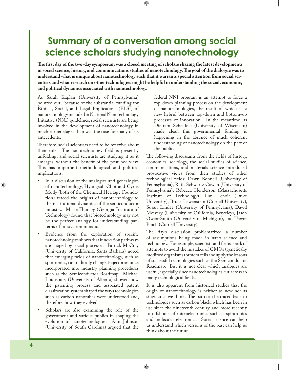### **Summary of a conversation among social science scholars studying nanotechnology**

The first day of the two-day symposium was a closed meeting of scholars sharing the latest developments in social science, history, and communications studies of nanotechnology. The goal of the dialogue was to **understand what is unique about nanotechnology such that it warrants special attention from social scientists and what research on other technologies might be helpful in understanding the social, economic, and political dynamics associated with nanotechnology.**

As Sarah Kaplan (University of Pennsylvania) pointed out, because of the substantial funding for Ethical, Social, and Legal Implications (ELSI) of nanotechnology included in National Nanotechnology Initiative (NNI) guidelines, social scientists are being involved in the development of nanotechnology in much earlier stages than was the case for many of its antecedents.

Therefore, social scientists need to be reflexive about their role. The nanotechnology field is presently unfolding, and social scientists are studying it as it emerges, without the benefit of the post hoc view. This has important methodological and political implications.

- In a discussion of the analogies and genealogies of nanotechnology, Hyungsub Choi and Cyrus Mody (both of the Chemical Heritage Foundation) traced the origins of nanotechnology to the institutional dynamics of the semiconductor industry. Marie Thursby (Georgia Institute of Technology) found that biotechnology may not be the perfect analogy for understanding patterns of innovation in nano.
- Evidence from the exploration of specific nanotechnologies shows that innovation pathways are shaped by social processes. Patrick McCray (University of California, Santa Barbara) noted that emerging fields of nanotechnology, such as spintronics, can radically change trajectories once incorporated into industry planning procedures such as the Semiconductor Roadmap. Michael Lounsbury (University of Alberta) showed how the patenting process and associated patent classification system shaped the ways technologies such as carbon nanotubes were understood and, therefore, how they evolved.
- Scholars are also examining the role of the government and various publics in shaping the evolution of nanotechnologies. Ann Johnson (University of South Carolina) argued that the

federal NNI program is an attempt to force a top-down planning process on the development of nanotechnologies, the result of which is a new hybrid between top-down and bottom-up processes of innovation. In the meantime, as Dietram Scheufele (University of Wisconsin) made clear, this governmental funding is happening in the absence of much coherent understanding of nanotechnology on the part of the public.

The following discussants from the fields of history, economics, sociology, the social studies of science, communications, and materials science introduced provocative views from their studies of other technological fields: Dawn Bonnell (University of Pennsylvania), Ruth Schwartz Cowan (University of Pennsylvania), Rebecca Henderson (Massachusetts Institute of Technology), Tim Lenoir (Duke University), Bruce Lewenstein (Cornell University), Susan Lindee (University of Pennsylvania), David Mowery (University of California, Berkeley), Jason Owen-Smith (University of Michigan), and Trevor Pinch (Cornell University).

The day's discussion problematized a number of assumptions being made in nano science and technology. For example, scientists and firms speak of attempts to avoid the mistakes of GMOs (genetically modified organisms) or stem cells and apply the lessons of successful technologies such as the Semiconductor Roadmap. But it is not clear which analogies are useful, especially since nanotechnologies cut across so many technological fields.

It is also apparent from historical studies that the origin of nanotechnology is neither as new nor as singular as we think. The path can be traced back to technologies such as carbon black, which has been in use since the nineteenth century, and more recently to offshoots of microelectronics such as spintronics and molecular electronics. Social science can help us understand which versions of the past can help us think about the future.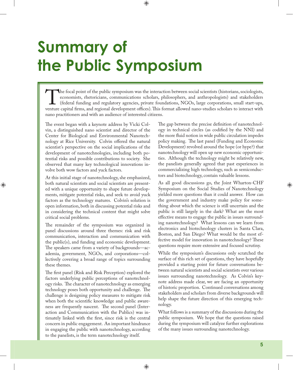# **Summary of the Public Symposium**

The focal point of the public symposium was the interaction between social scientists (historians, sociologists, economists, rhetoricians, communications scholars, philosophers, and anthropologists) and stakeholders (feder economists, rhetoricians, communications scholars, philosophers, and anthropologists) and stakeholders (federal funding and regulatory agencies, private foundations, NGOs, large corporations, small start-ups, venture capital firms, and regional development offices). This format allowed nano-studies scholars to interact with nano practitioners and with an audience of interested citizens.

The event began with a keynote address by Vicki Colvin, a distinguished nano scientist and director of the Center for Biological and Environmental Nanotechnology at Rice University. Colvin offered the natural scientist's perspective on the social implications of the development of nanotechnologies, including both potential risks and possible contributions to society. She observed that many key technological innovations involve both wow factors and yuck factors.

At this initial stage of nanotechnology, she emphasized, both natural scientists and social scientists are presented with a unique opportunity to shape future developments, mitigate potential risks, and seek to avoid yuck factors as the technology matures. Colvin's solution is open information, both in discussing potential risks and in considering the technical content that might solve critical social problems.

The remainder of the symposium was organized in panel discussions around three themes: risk and risk communication, interaction and communication with the public(s), and funding and economic development. The speakers came from a variety of backgrounds—academia, government, NGOs, and corporations—collectively covering a broad range of topics surrounding these themes.

The first panel (Risk and Risk Perception) explored the factors underlying public perceptions of nanotechnology risks. The character of nanotechnology as emerging technology poses both opportunity and challenge. The challenge is designing policy measures to mitigate risk when both the scientific knowledge and public awareness are frequently nascent. The second panel (Interaction and Communication with the Publics) was intimately linked with the first, since risk is the central concern in public engagement. An important hindrance in engaging the public with nanotechnology, according to the panelists, is the term nanotechnology itself.

The gap between the precise definition of nanotechnology in technical circles (as codified by the NNI) and the more fluid notion in wide public circulation impedes policy making. The last panel (Funding and Economic Development) revolved around the hope (or hype?) that nanotechnology will open up new economic opportunities. Although the technology might be relatively new, the panelists generally agreed that past experiences in commercializing high technology, such as semiconductors and biotechnology, contain valuable lessons.

As all good discussions go, the Joint Wharton-CHF Symposium on the Social Studies of Nanotechnology yielded more questions than it could answer. How can the government and industry make policy for something about which the science is still uncertain and the public is still largely in the dark? What are the most effective means to engage the public in issues surrounding nanotechnology? What lessons can we learn from electronics and biotechnology clusters in Santa Clara, Boston, and San Diego? What would be the most effective model for innovation in nanotechnology? These questions require more extensive and focused scrutiny.

While the symposium's discussions only scratched the surface of this rich set of questions, they have hopefully provided a starting point for future conversations between natural scientists and social scientists over various issues surrounding nanotechnology. As Colvin's keynote address made clear, we are facing an opportunity of historic proportion. Continued conversations among stakeholders and scholars from diverse backgrounds will help shape the future direction of this emerging technology.

What follows is a summary of the discussions during the public symposium. We hope that the questions raised during the symposium will catalyze further explorations of the many issues surrounding nanotechnology.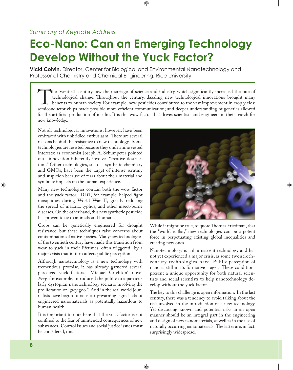### **Eco-Nano: Can an Emerging Technology Develop Without the Yuck Factor?**

**Vicki Colvin,** Director, Center for Biological and Environmental Nanotechnology and Professor of Chemistry and Chemical Engineering, Rice University

The twentieth century saw the marriage of science and industry, which significantly increased the rate of technological change. Throughout the century, dazzling new technological innovations brought many benefits to human technological change. Throughout the century, dazzling new technological innovations brought many benefits to human society. For example, new pesticides contributed to the vast improvement in crop yields; semiconductor chips made possible more efficient communication; and deeper understanding of genetics allowed for the artificial production of insulin. It is this wow factor that drives scientists and engineers in their search for new knowledge.

Not all technological innovations, however, have been embraced with unbridled enthusiasm. There are several reasons behind the resistance to new technology. Some technologies are resisted because they undermine vested interests: as economist Joseph A. Schumpeter pointed out, innovation inherently involves "creative destruction." Other technologies, such as synthetic chemistry and GMOs, have been the target of intense scrutiny and suspicion because of fears about their material and symbolic impacts on the human experience.

Many new technologies contain both the wow factor and the yuck factor. DDT, for example, helped fight mosquitoes during World War II, greatly reducing the spread of malaria, typhus, and other insect-borne diseases. On the other hand, this new synthetic pesticide has proven toxic to animals and humans.

Crops can be genetically engineered for drought resistance, but these techniques raise concerns about contamination of native species. Many new technologies of the twentieth century have made this transition from wow to yuck in their lifetimes, often triggered by a major crisis that in turn affects public perception.

Although nanotechnology is a new technology with tremendous promise, it has already garnered several perceived yuck factors. Michael Crichton's novel *Prey,* for example, introduced the public to a particularly dystopian nanotechnology scenario involving the proliferation of "grey goo." And in the real world journalists have begun to raise early-warning signals about engineered nanomaterials as potentially hazardous to human health.

It is important to note here that the yuck factor is not confined to the fear of unintended consequences of new substances. Control issues and social justice issues must be considered, too.



While it might be true, to quote Thomas Friedman, that the "world is flat," new technologies can be a potent force in perpetuating existing global inequalities and creating new ones.

Nanotechnology is still a nascent technology and has not yet experienced a major crisis, as some twentiethcentury technologies have. Public perception of nano is still in its formative stages. These conditions present a unique opportunity for both natural scientists and social scientists to help nanotechnology develop without the yuck factor.

The key to this challenge is open information. In the last century, there was a tendency to avoid talking about the risk involved in the introduction of a new technology. Yet discussing known and potential risks in an open manner should be an integral part in the engineering and design of new nanomaterials, as well as in the use of naturally occurring nanomaterials. The latter are, in fact, surprisingly widespread.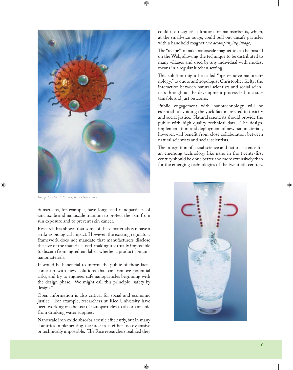

*Image Credit: T. Sasaki, Rice University*

Sunscreens, for example, have long used nanoparticles of zinc oxide and nanoscale titanium to protect the skin from sun exposure and to prevent skin cancer.

Research has shown that some of these materials can have a striking biological impact. However, the existing regulatory framework does not mandate that manufacturers disclose the size of the materials used, making it virtually impossible to discern from ingredient labels whether a product contains nanomaterials.

It would be beneficial to inform the public of these facts, come up with new solutions that can remove potential risks, and try to engineer safe nanoparticles beginning with the design phase. We might call this principle "safety by design."

Open information is also critical for social and economic justice. For example, researchers at Rice University have been working on the use of nanoparticles to absorb arsenic from drinking water supplies.

Nanoscale iron oxide absorbs arsenic efficiently, but in many countries implementing the process is either too expensive or technically impossible. The Rice researchers realized they could use magnetic filtration for nanosorbents, which, at the small-size range, could pull out unsafe particles with a handheld magnet *(see accompanying image).* 

The "recipe" to make nanoscale magnetite can be posted on the Web, allowing the technique to be distributed to many villages and used by any individual with modest means in a regular kitchen setting.

This solution might be called "open-source nanotechnology," to quote anthropologist Christopher Kelty: the interaction between natural scientists and social scientists throughout the development process led to a sustainable and just outcome.

Public engagement with nanotechnology will be essential to avoiding the yuck factors related to toxicity and social justice. Natural scientists should provide the public with high-quality technical data. The design, implementation, and deployment of new nanomaterials, however, will benefit from close collaboration between natural scientists and social scientists.

The integration of social science and natural science for an emerging technology like nano in the twenty-first century should be done better and more extensively than for the emerging technologies of the twentieth century.

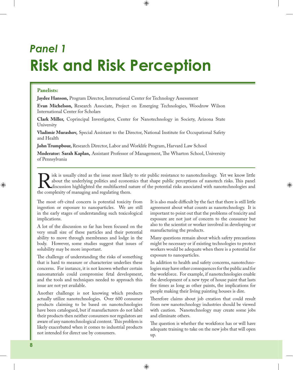## *Panel 1* **Risk and Risk Perception**

#### **Panelists:**

**Jaydee Hanson,** Program Director, International Center for Technology Assessment

**Evan Michelson,** Research Associate, Project on Emerging Technologies, Woodrow Wilson International Center for Scholars

**Clark Miller,** Coprincipal Investigator, Center for Nanotechnology in Society, Arizona State **University** 

**Vladimir Murashov,** Special Assistant to the Director, National Institute for Occupational Safety and Health

**John Trumpbour,** Research Director, Labor and Worklife Program, Harvard Law School

**Moderator: Sarah Kaplan, Assistant Professor of Management, The Wharton School, University** of Pennsylvania

Risk is usually cited as the issue most likely to stir public resistance to nanotechnology. Yet we know little about the underlying politics and economics that shape public perceptions of nanotech risks. This panel discuss about the underlying politics and economics that shape public perceptions of nanotech risks. This panel discussion highlighted the multifaceted nature of the potential risks associated with nanotechnologies and the complexity of managing and regulating them.

The most oft-cited concern is potential toxicity from ingestion or exposure to nanoparticles. We are still in the early stages of understanding such toxicological implications.

A lot of the discussion so far has been focused on the very small size of these particles and their potential ability to move through membranes and lodge in the body. However, some studies suggest that issues of solubility may be more important.

The challenge of understanding the risks of something that is hard to measure or characterize underlies these concerns. For instance, it is not known whether certain nanomaterials could compromise fetal development, and the tools and techniques needed to approach this issue are not yet available.

Another challenge is not knowing which products actually utilize nanotechnologies. Over 600 consumer products claiming to be based on nanotechnologies have been catalogued, but if manufacturers do not label their products then neither consumers nor regulators are aware of any nanotechnological content. This problem is likely exacerbated when it comes to industrial products not intended for direct use by consumers.

It is also made difficult by the fact that there is still little agreement about what counts as nanotechnology. It is important to point out that the problems of toxicity and exposure are not just of concern to the consumer but also to the scientist or worker involved in developing or manufacturing the products.

Many questions remain about which safety precautions might be necessary or if existing technologies to protect workers would be adequate when there is a potential for exposure to nanoparticles.

In addition to health and safety concerns, nanotechnologies may have other consequences for the public and for the workforce. For example, if nanotechnologies enable the development of a new type of house paint that lasts five times as long as other paints, the implications for people making their living painting houses is dire.

Therefore claims about job creation that could result from new nanotechnology industries should be viewed with caution. Nanotechnology may create some jobs and eliminate others.

The question is whether the workforce has or will have adequate training to take on the new jobs that will open up.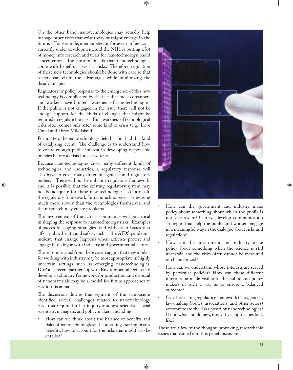On the other hand, nanotechnologies may actually help manage other risks that exist today or might emerge in the future. For example, a nanodetector for avian influenza is currently under development, and the NIH is putting a lot of money into research and trials for nanotechnology-based cancer cures. The bottom line is that nanotechnologies come with benefits as well as risks. Therefore, regulation of these new technologies should be done with care so that society can claim the advantages while minimizing the disadvantages.

Regulatory or policy response to the emergence of this new technology is complicated by the fact that most consumers and workers have limited awareness of nanotechnologies. If the public is not engaged in the issue, there will not be enough support for the kinds of changes that might be required to regulate the risks. But awareness of technological risks often comes only after some kind of crisis (e.g., Love Canal and Three Mile Island).

Fortunately, the nanotechnology field has not had this kind of catalyzing event. The challenge is to understand how to create enough public interest in developing responsible policies before a crisis forces awareness.

Because nanotechnologies cross many different kinds of technologies and industries, a regulatory response will also have to cross many different agencies and regulatory bodies. There will not be only one regulatory framework, and it is possible that the existing regulatory system may not be adequate for these new technologies. As a result, the regulatory framework for nanotechnologies is emerging much more slowly than the technologies themselves, and the mismatch may create problems.

The involvement of the activist community will be critical in shaping the response to nanotechnology risks. Examples of successful coping strategies used with other issues that affect public health and safety, such as the AIDS pandemic, indicate that change happens when activists protest and engage in dialogue with industry and governmental actors.

The lessons learned from these cases suggest that new models for working with industry may be most appropriate in highly uncertain settings such as emerging nanotechnologies. DuPont's recent partnership with Environmental Defense to develop a voluntary framework for production and disposal of nanomaterials may be a model for future approaches to risk in this arena.

The discussion during this segment of the symposium identified several challenges related to nanotechnology risks that require further inquiry amongst scientists, social scientists, managers, and policy makers, including:

How can we think about the balance of benefits and risks of nanotechnologies? If something has important benefits, how to account for the risks that might also be entailed?



- How can the government and industry make policy about something about which the public is not very aware? Can we develop communication strategies that help the public and workers engage in a meaningful way in the dialogue about risks and regulation?
- How can the government and industry make policy about something when the science is still uncertain and the risks often cannot be measured or characterized?
- How can we understand whose interests are served by particular policies? How can these different interests be made visible to the public and policy makers in such a way as to ensure a balanced outcome?
- Can the existing regulatory framework (the agencies, law-making bodies, associations, and other actors) accommodate the risks posed by nanotechnologies? If not, what should new, innovative approaches look like?

These are a few of the thought-provoking, researchable issues that came from this panel discussion.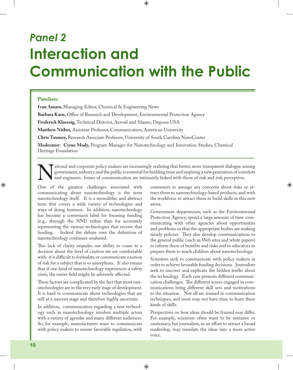## *Panel 2* **Interaction and Communication with the Public**

#### **Panelists:**

**Ivan Amato,** Managing Editor, Chemical & Engineering News

**Barbara Karn, Office of Research and Development, Environmental Protection Agency** 

**Frederick Klaessig,** Technical Director, Aerosil and Silanes, Degussa USA

**Matthew Nisbet,** Assistant Professor, Communication, American University

**Chris Toumey,** Research Associate Professor, University of South Carolina NanoCenter

**Moderator: Cyrus Mody,** Program Manager for Nanotechnology and Innovation Studies, Chemical Heritage Foundation

ational and corporate policy makers are increasingly realizing that better, more transparent dialogue among government, industry, and the public is essential for building trust and inspiring a new generation of scientists and engineers. Issues of communication are intimately linked with those of risk and risk perception.

One of the greatest challenges associated with communicating about nanotechnology is the term nanotechnology itself. It is a monolithic and abstract term that covers a wide variety of technologies and ways of doing business. In addition, nanotechnology has become a convenient label for focusing funding (e.g., through the NNI) rather than for accurately representing the various technologies that receive that funding. Indeed the debate over the definition of nanotechnology continues unabated.

This lack of clarity impedes our ability to come to a decision about the level of caution we are comfortable with: it is difficult to formulate or communicate a notion of risk for a subject that is so amorphous. It also means that if one kind of nanotechnology experiences a safety crisis, the entire field might be adversely affected.

These factors are complicated by the fact that most nanotechnologies are in the very early stage of development. It is hard to communicate about technologies that are still at a nascent stage and therefore highly uncertain.

In addition, communication regarding a new technology such as nanotechnology involves multiple actors with a variety of agendas and many different audiences. So, for example, manufacturers want to communicate with policy makers to ensure favorable regulation, with

consumers to assuage any concerns about risks or attract them to nanotechnology-based products, and with the workforce to attract them to build skills in this new arena.

Government departments, such as the Environmental Protection Agency, spend a large amount of time communicating with other agencies about opportunities and problems so that the appropriate bodies are making timely policies. They also develop communications to the general public (such as Web sites and white papers) to inform them of benefits and risks and to educators to prepare them to teach children about nanotechnology.

Scientists seek to communicate with policy makers in order to achieve favorable funding decisions. Journalists seek to uncover and explicate the hidden truths about the technology. Each case presents different communication challenges. The different actors engaged in communications bring different skill sets and motivations to the situation. Not all are trained in communication techniques, and most may not have time to learn these kinds of skills.

Perspectives on how ideas should be framed may differ. For example, scientists often want to be tentative or cautionary, but journalists, in an effort to attract a broad readership, may translate the ideas into a more active voice.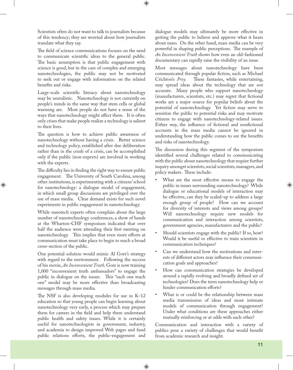Scientists often do not want to talk to journalists because of this tendency; they are worried about how journalists translate what they say.

The field of science communications focuses on the need to communicate scientific ideas to the general public. The basic assumption is that public engagement with science is good, but in the case of complex and emerging nanotechnologies, the public may not be motivated to seek out or engage with information on the related benefits and risks.

Large-scale scientific literacy about nanotechnology may be unrealistic. Nanotechnology is not currently on people's minds in the same way that stem cells or global warming are. Most people do not have a sense of the ways that nanotechnology might affect them. It is often only crises that make people realize a technology is salient to their lives.

The question is how to achieve public awareness of nanotechnology without having a crisis. Better science and technology policy, established after due deliberation rather than in the crush of a crisis, can be accomplished only if the public (non-experts) are involved in working with the experts.

The difficulty lies in finding the right way to ensure public engagement. The University of South Carolina, among other institutions, is experimenting with a citizens' school for nanotechnology: a dialogue model of engagement, in which small group discussions are privileged over the use of mass media. Clear demand exists for such novel experiments in public engagement in nanotechnology.

While nanotech experts often complain about the large number of nanotechnology conferences, a show of hands at the Wharton-CHF symposium indicated that over half the audience were attending their first meeting on nanotechnology. This implies that even more efforts at communication must take place to begin to reach a broad cross-section of the public.

One potential solution would mimic Al Gore's strategy with regard to the environment. Following the success of his movie, *An Inconvenient Truth,* Gore is now training 1,000 "inconvenient truth ambassadors" to engage the public in dialogue on the issues. This "each one teach one" model may be more effective than broadcasting messages through mass media.

The NSF is also developing modules for use in  $K-12$ education so that young people can begin learning about nanotechnology very early, a process which may prepare them for careers in the field and help them understand public health and safety issues. While it is certainly useful for nanotechnologists in government, industry, and academia to design improved Web pages and fund public relations efforts, the public-engagement and

dialogue models may ultimately be more effective in getting the public to believe and approve what it hears about nano. On the other hand, mass media can be very powerful in shaping public perceptions. The example of *An Inconvenient Truth* shows how even an old-fashioned documentary can rapidly raise the visibility of an issue.

Most messages about nanotechnology have been communicated through popular fiction, such as Michael Crichton's Prey. These fantasies, while entertaining, may spread ideas about the technology that are not accurate. Many people who support nanotechnology (manufacturers, scientists, etc.) may regret that fictional works are a major source for popular beliefs about the potential of nanotechnology. Yet fiction may serve to sensitize the public to potential risks and may motivate citizens to engage with nanotechnology-related issues. Either way, the influence of fictional and nonfictional accounts in the mass media cannot be ignored in understanding how the public comes to see the benefits and risks of nanotechnology.

The discussion during this segment of the symposium identified several challenges related to communicating with the public about nanotechnology that require further inquiry amongst scientists, social scientists, managers, and policy makers. These include:

- What are the most effective means to engage the public in issues surrounding nanotechnology? While dialogue or educational models of interaction may be effective, can they be scaled-up to address a large enough group of people? How can we account for diversity of interests and views among groups? Will nanotechnology require new models for communication and interaction among scientists, government agencies, manufacturers and the public?
- Should scientists engage with the public? If so, how? Would it be useful or effective to train scientists in communication techniques?
- Can we understand how the motivations and interests of different actors may influence their communication goals and approaches?
- How can communication strategies be developed around a rapidly evolving and broadly defined set of technologies? Does the term nanotechnology help or hinder communication efforts?
- What is or could be the relationship between mass media transmission of ideas and more intimate models of communication through engagement? Under what conditions are these approaches either mutually reinforcing or at odds with each other?

Communication and interaction with a variety of publics pose a variety of challenges that would benefit from academic research and insight.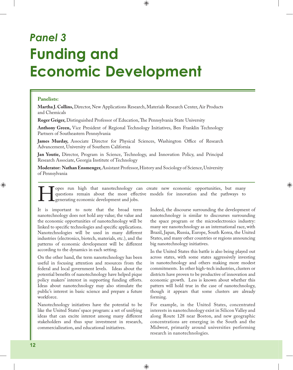### *Panel 3* **Funding and Economic Development**

#### **Panelists:**

**Martha J. Collins,** Director, New Applications Research, Materials Research Center, Air Products and Chemicals

**Roger Geiger, Distinguished Professor of Education, The Pennsylvania State University** 

**Anthony Green,** Vice President of Regional Technology Initiatives, Ben Franklin Technology Partners of Southeastern Pennsylvania

**James Murday,** Associate Director for Physical Sciences, Washington Office of Research Advancement, University of Southern California

**Jan Youtie,** Director, Program in Science, Technology, and Innovation Policy, and Principal Research Associate, Georgia Institute of Technology

**Moderator: Nathan Ensmenger,** Assistant Professor, History and Sociology of Science, University of Pennsylvania

Topes run high that nanotechnology can create new economic opportunities, but many questions remain about the most effective models for innovation and the pathways to generating economic development and jobs. questions remain about the most effective models for innovation and the pathways to **L** generating economic development and jobs.

It is important to note that the broad term nanotechnology does not hold any value; the value and the economic opportunities of nanotechnology will be linked to specific technologies and specific applications. Nanotechnologies will be used in many different industries (electronics, biotech, materials, etc.), and the patterns of economic development will be different according to the dynamics in each setting.

On the other hand, the term nanotechnology has been useful in focusing attention and resources from the federal and local government levels. Ideas about the potential benefits of nanotechnology have helped pique policy makers' interest in supporting funding efforts. Ideas about nanotechnology may also stimulate the public's interest in basic science and prepare a future workforce.

Nanotechnology initiatives have the potential to be like the United States' space program: a set of unifying ideas that can excite interest among many different stakeholders and thus spur investment in research, commercialization, and educational initiatives.

Indeed, the discourse surrounding the development of nanotechnology is similar to discourses surrounding the space program or the microelectronics industry: many see nanotechnology as an international race, with Brazil, Japan, Russia, Europe, South Korea, the United States, and many other countries or regions announcing big nanotechnology initiatives.

In the United States this battle is also being played out across states, with some states aggressively investing in nanotechnology and others making more modest commitments. In other high-tech industries, clusters or districts have proven to be productive of innovation and economic growth. Less is known about whether this pattern will hold true in the case of nanotechnology, though it appears that some clusters are already forming.

For example, in the United States, concentrated interests in nanotechnology exist in Silicon Valley and along Route 128 near Boston, and new geographic concentrations are emerging in the South and the Midwest, primarily around universities performing research in nanotechnologies.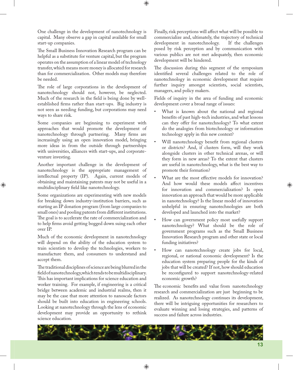One challenge in the development of nanotechnology is capital. Many observe a gap in capital available for small start-up companies.

The Small Business Innovation Research program can be helpful as a substitute for venture capital, but the program operates on the assumption of a linear model of technology transfer, which means more money is allocated for research than for commercialization. Other models may therefore be needed.

The role of large corporations in the development of nanotechnology should not, however, be neglected. Much of the research in the field is being done by wellestablished firms rather than start-ups. Big industry is not seen as needing funding, but corporations may need ways to share risk.

Some companies are beginning to experiment with approaches that would promote the development of nanotechnology through partnering. Many firms are increasingly using an open innovation model, bringing more ideas in from the outside through partnerships with universities, alliances with start-ups, and corporateventure investing.

Another important challenge in the development of nanotechnology is the appropriate management of intellectual property (IP). Again, current models of obtaining and maintaining patents may not be useful in a multidisciplinary field like nanotechnology.

Some organizations are experimenting with new models for breaking down industry-institution barriers, such as starting an IP donation program (from large companies to small ones) and pooling patents from different institutions. The goal is to accelerate the rate of commercialization and to help firms avoid getting bogged down suing each other over IP.

Much of the economic development in nanotechnology will depend on the ability of the education system to train scientists to develop the technologies, workers to manufacture them, and consumers to understand and accept them.

The traditional disciplines of science are being blurred in the field of nanotechnology, which tends to be multidisciplinary. This has important implications for science education and worker training. For example, if engineering is a critical bridge between academic and industrial realms, then it may be the case that more attention to nanoscale factors should be built into education in engineering schools. Looking at nanotechnology through the lens of economic development may provide an opportunity to rethink science education.

Finally, risk perceptions will affect what will be possible to commercialize and, ultimately, the trajectory of technical development in nanotechnology. If the challenges posed by risk perception and by communication with various publics are not met adequately, then economic development will be hindered.

The discussion during this segment of the symposium identified several challenges related to the role of nanotechnology in economic development that require further inquiry amongst scientists, social scientists, managers, and policy makers.

Fields of inquiry in the area of funding and economic development cover a broad range of issues:

- What is known about the national and regional benefits of past high-tech industries, and what lessons can they offer for nanotechnology? To what extent do the analogies from biotechnology or information technology apply in this new context?
- Will nanotechnology benefit from regional clusters or districts? And, if clusters form, will they work alongside clusters in other technical arenas, or will they form in new areas? To the extent that clusters are useful in nanotechnology, what is the best way to promote their formation?
- What are the most effective models for innovation? And how would these models affect incentives for innovation and commercialization? Is open innovation an approach that would be more applicable in nanotechnology? Is the linear model of innovation unhelpful in ensuring nanotechnologies are both developed and launched into the market?
- How can government policy most usefully support nanotechnology? What should be the role of government programs such as the Small Business Innovation Research program and other state or local funding initiatives?
- How can nanotechnology create jobs for local, regional, or national economic development? Is the education system preparing people for the kinds of jobs that will be created? If not, how should education be reconfigured to support nanotechnology-related economic growth?

The economic benefits and value from nanotechnology research and commercialization are just beginning to be realized. As nanotechnology continues its development, there will be intriguing opportunities for researchers to evaluate winning and losing strategies, and patterns of success and failure across industries.

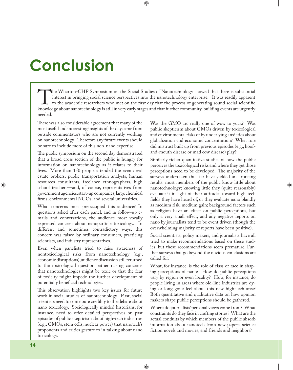## **Conclusion**

The Wharton-CHF Symposium on the Social Studies of Nanotechnology showed that there is substantial<br>interest in bringing social science perspectives into the nanotechnology enterprise. It was readily apparent<br>to the academi interest in bringing social science perspectives into the nanotechnology enterprise. It was readily apparent to the academic researchers who met on the first day that the process of generating sound social scientific knowledge about nanotechnology is still in very early stages and that further community-building events are urgently needed.

There was also considerable agreement that many of the most useful and interesting insights of the day came from outside commentators who are not currently working on nanotechnology. Therefore any future events should be sure to include more of this non-nano expertise.

The public symposium on the second day demonstrated that a broad cross section of the public is hungry for information on nanotechnology as it relates to their lives. More than 150 people attended the event: real estate brokers, public transportation analysts, human resources consultants, freelance ethnographers, high school teachers—and, of course, representatives from government agencies, start-up companies, large chemical firms, environmental NGOs, and several universities.

What concerns most preoccupied this audience? In questions asked after each panel, and in follow-up emails and conversations, the audience most vocally expressed concern about nanoparticle toxicology. In different and sometimes contradictory ways, this concern was raised by ordinary consumers, practicing scientists, and industry representatives.

Even when panelists tried to raise awareness of nontoxicological risks from nanotechnology (e.g., economic disruptions), audience discussion still returned to the toxicological question, either raising concerns that nanotechnologies might be toxic or that the fear of toxicity might impede the further development of potentially beneficial technologies.

This observation highlights two key issues for future work in social studies of nanotechnology. First, social scientists need to contribute credibly to the debate about nano toxicology. Sociologically minded historians, for instance, need to offer detailed perspectives on past episodes of public skepticism about high-tech industries (e.g., GMOs, stem cells, nuclear power) that nanotech's proponents and critics gesture to in talking about nano toxicology.

Was the GMO arc really one of wow to yuck? Was public skepticism about GMOs driven by toxicological and environmental risks or by underlying anxieties about globalization and economic concentration? What role did mistrust built up from previous episodes (e.g., hoofand-mouth disease or mad cow disease) play?

Similarly richer quantitative studies of how the public perceives the toxicological risks and where they get those perceptions need to be developed. The majority of the surveys undertaken thus far have yielded unsurprising results: most members of the public know little about nanotechnology; knowing little they (quite reasonably) evaluate it in light of their attitudes toward high-tech fields they have heard of, or they evaluate nano blandly as medium risk, medium gain; background factors such as religion have an effect on public perceptions, but only a very small effect; and any negative reports on nano by journalists tend to be event driven (though the overwhelming majority of reports have been positive).

Social scientists, policy makers, and journalists have all tried to make recommendations based on these studies, but these recommendations seem premature. Further surveys that go beyond the obvious conclusions are called for.

What, for instance, is the role of class or race in shaping perceptions of nano? How do public perceptions vary by region or even locality? How, for instance, do people living in areas where old-line industries are dying or long gone feel about this new high-tech area? Both quantitative and qualitative data on how opinion makers shape public perceptions should be gathered.

Where do journalists' personal views come from? What constraints do they face in crafting stories? What are the actual conduits by which members of the public absorb information about nanotech from newspapers, science fiction novels and movies, and friends and neighbors?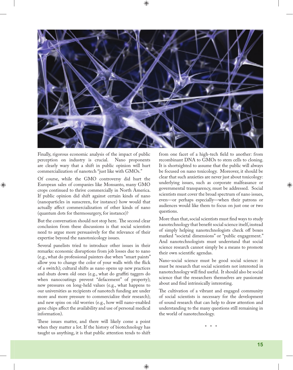

Finally, rigorous economic analysis of the impact of public perception on industry is crucial. Nano proponents are clearly wary that a shift in public opinion will hurt commercialization of nanotech "just like with GMOs."

Of course, while the GMO controversy did hurt the European sales of companies like Monsanto, many GMO crops continued to thrive commercially in North America. If public opinion did shift against certain kinds of nano (nanoparticles in sunscreen, for instance) how would that actually affect commercialization of other kinds of nano (quantum dots for thermosurgery, for instance)?

But the conversation should not stop here. The second clear conclusion from these discussions is that social scientists need to argue more persuasively for the relevance of their expertise beyond the nanotoxicology issues.

Several panelists tried to introduce other issues in their remarks: economic disruptions from job losses due to nano (e.g., what do professional painters due when "smart paints" allow you to change the color of your walls with the flick of a switch); cultural shifts as nano opens up new practices and shuts down old ones (e.g., what do graffiti taggers do when nanocoatings prevent "defacement" of property); new pressures on long-held values (e.g., what happens to our universities as recipients of nanotech funding are under more and more pressure to commercialize their research); and new spins on old worries (e.g., how will nano-enabled gene chips affect the availability and use of personal medical information).

These issues matter, and there will likely come a point when they matter a lot. If the history of biotechnology has taught us anything, it is that public attention tends to shift from one facet of a high-tech field to another: from recombinant DNA to GMOs to stem cells to cloning. It is shortsighted to assume that the public will always be focused on nano toxicology. Moreover, it should be clear that such anxieties are never just about toxicology: underlying issues, such as corporate malfeasance or governmental transparency, must be addressed. Social scientists must cover the broad spectrum of nano issues, even—or perhaps especially—when their patrons or audiences would like them to focus on just one or two questions.

More than that, social scientists must find ways to study nanotechnology that benefit social science itself, instead of simply helping nanotechnologists check off boxes marked "societal dimensions" or "public engagement." And nanotechnologists must understand that social science research cannot simply be a means to promote their own scientific agendas.

Nano-social science must be good social science: it must be research that social scientists not interested in nanotechnology will find useful. It should also be social science that the researchers themselves are passionate about and find intrinsically interesting.

The cultivation of a vibrant and engaged community of social scientists is necessary for the development of sound research that can help to draw attention and understanding to the many questions still remaining in the world of nanotechnology.

\* \* \*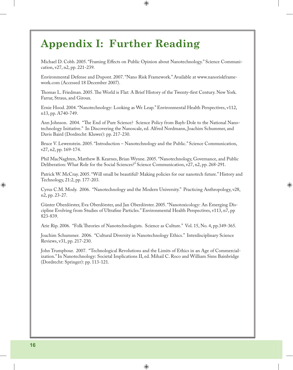### **Appendix I: Further Reading**

Michael D. Cobb. 2005. "Framing Effects on Public Opinion about Nanotechnology." Science Communication, v27, n2, pp. 221-239.

Environmental Defense and Dupont. 2007. "Nano Risk Framework." Available at www.nanoriskframework.com (Accessed 18 December 2007).

Thomas L. Friedman. 2005. The World is Flat: A Brief History of the Twenty-first Century. New York. Farrar, Straus, and Giroux.

Ernie Hood. 2004. "Nanotechnology: Looking as We Leap." Environmental Health Perspectives, v112, n13, pp. A740-749.

Ann Johnson. 2004. "The End of Pure Science? Science Policy from Bayh-Dole to the National Nanotechnology Initiative." In Discovering the Nanoscale, ed. Alfred Nordmann, Joachim Schummer, and Davis Baird (Dordrecht: Kluwer): pp. 217-230.

Bruce V. Lewenstein. 2005. "Introduction – Nanotechnology and the Public." Science Communication, v27, n2, pp. 169-174.

Phil MacNaghten, Matthew B. Kearnes, Brian Wynne. 2005. "Nanotechnology, Governance, and Public Deliberation: What Role for the Social Sciences?" Science Communication, v27, n2, pp. 268-291.

Patrick W. McCray. 2005. "Will small be beautiful? Making policies for our nanotech future." History and Technology, 21:2, pp. 177-203.

Cyrus C.M. Mody. 2006. "Nanotechnology and the Modern University." Practicing Anthropology, v28, n2, pp. 23-27.

Günter Oberdörster, Eva Oberdörster, and Jan Oberdörster. 2005. "Nanotoxicology: An Emerging Discipline Evolving from Studies of Ultrafine Particles." Environmental Health Perspectives, v113, n7, pp 823-839.

Arie Rip. 2006. "Folk Theories of Nanotechnologists. Science as Culture." Vol. 15, No. 4, pp. 349-365.

Joachim Schummer. 2006. "Cultural Diversity in Nanotechnology Ethics." Interdisciplinary Science Reviews, v31, pp. 217-230.

John Trumpbour. 2007. "Technological Revolutions and the Limits of Ethics in an Age of Commercialization." In Nanotechnology: Societal Implications II, ed. Mihail C. Roco and William Sims Bainbridge (Dordrecht: Springer): pp. 113-121.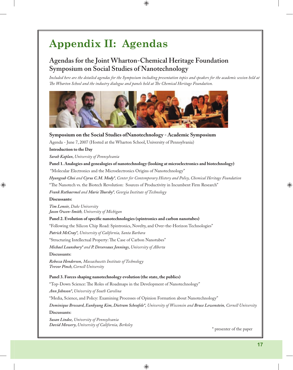### **Appendix II: Agendas**

#### **Agendas for the Joint Wharton-Chemical Heritage Foundation Symposium on Social Studies of Nanotechnology**

*Included here are the detailed agendas for the Symposium including presentation topics and speakers for the academic session held at*  The Wharton School and the industry dialogue and panels held at The Chemical Heritage Foundation.



#### **Symposium on the Social Studies ofNanotechnology - Academic Symposium**

Agenda - June 7, 2007 (Hosted at the Wharton School, University of Pennsylvania)

#### **Introduction to the Day**

*Sarah Kaplan, University of Pennsylvania*

#### **Panel 1. Analogies and genealogies of nanotechnology (looking at microelectronics and biotechnology)**

"Molecular Electronics and the Microelectronics Origins of Nanotechnology"

*Hyungsub Choi and Cyrus C.M. Mody\*, Center for Contemporary History and Policy, Chemical Heritage Foundation*

"The Nanotech vs. the Biotech Revolution: Sources of Productivity in Incumbent Firm Research"

*Frank Rothaermel and Marie Th ursby\*, Georgia Institute of Technology*

#### **Discussants:**

*Tim Lenoir, Duke University Jason Owen-Smith, University of Michigan*

#### Panel 2. Evolution of specific nanotechnologies (spintronics and carbon nanotubes)

"Following the Silicon Chip Road: Spintronics, Novelty, and Over-the-Horizon Technologies"

*Patrick McCray\*, University of California, Santa Barbara*

"Structuring Intellectual Property: The Case of Carbon Nanotubes"

*Michael Lounsbury\* and P. Devereaux Jennings, University of Alberta*

**Discussants:**

*Rebecca Henderson, Massachusetts Institute of Technology Trevor Pinch, Cornell University*

#### **Panel 3. Forces shaping nanotechnology evolution (the state, the publics)**

"Top-Down Science: The Roles of Roadmaps in the Development of Nanotechnology"

*Ann Johnson\*, University of South Carolina*

"Media, Science, and Policy: Examining Processes of Opinion Formation about Nanotechnology"

*Dominique Brossard, Eunkyung Kim, Dietram Scheufele\*, University of Wisconsin and Bruce Lewenstein, Cornell University*

**Discussants:**

*Susan Lindee, University of Pennsylvania David Mowery, University of California, Berkeley* \* presenter of the paper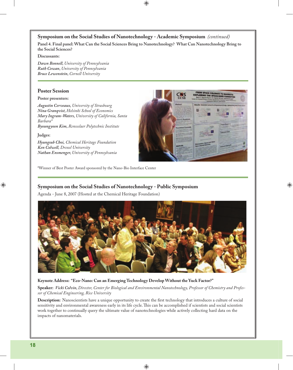#### **Symposium on the Social Studies of Nanotechnology - Academic Symposium** *(continued)*

**Panel 4. Final panel: What Can the Social Sciences Bring to Nanotechnology? What Can Nanotechnology Bring to the Social Sciences?**

#### **Discussants:**

*Dawn Bonnell, University of Pennsylvania Ruth Cowan, University of Pennsylvania Bruce Lewenstein, Cornell University*

#### **Poster Session**

#### **Poster presenters:**

*Augustin Cerveaux, University of Strasbourg Nina Granqvist, Helsinki School of Economics Mary Ingram-Waters, University of California, Santa Barbara\* Byoungyoon Kim, Rensselaer Polytechnic Institute*

#### **Judges:**

*Hyungsub Choi, Chemical Heritage Foundation Ken Colwell, Drexel University Nathan Ensmenger, University of Pennsylvania*



\*Winner of Best Poster Award sponsored by the Nano-Bio Interface Center

#### **Symposium on the Social Studies of Nanotechnology - Public Symposium**

Agenda - June 8, 2007 (Hosted at the Chemical Heritage Foundation)



#### **Keynote Address: "Eco-Nano: Can an Emerging Technology Develop Without the Yuck Factor?"**

**Speaker:** *Vicki Colvin, Director, Center for Biological and Environmental Nanotechnology, Professor of Chemistry and Professor of Chemical Engineering, Rice University*

**Description:** Nanoscientists have a unique opportunity to create the first technology that introduces a culture of social sensitivity and environmental awareness early in its life cycle. This can be accomplished if scientists and social scientists work together to continually query the ultimate value of nanotechnologies while actively collecting hard data on the impacts of nanomaterials.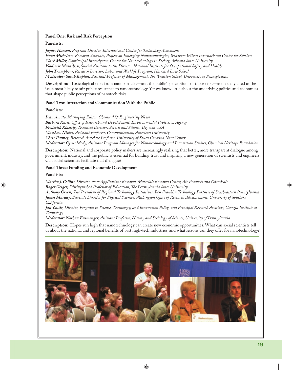#### **Panel One: Risk and Risk Perception**

#### **Panelists:**

*Jaydee Hanson, Program Director, International Center for Technology Assessment Evan Michelson, Research Associate, Project on Emerging Nanotechnologies, Woodrow Wilson International Center for Scholars Clark Miller, Coprincipal Investigator, Center for Nanotechnology in Society, Arizona State University Vladimir Murashov, Special Assistant to the Director, National Institute for Occupational Safety and Health John Trumpbour, Research Director, Labor and Worklife Program, Harvard Law School Moderator: Sarah Kaplan, Assistant Professor of Management, Th e Wharton School, University of Pennsylvania*

**Description:** Toxicological risks from nanoparticles—and the public's perceptions of those risks—are usually cited as the issue most likely to stir public resistance to nanotechnology. Yet we know little about the underlying politics and economics that shape public perceptions of nanotech risks.

#### **Panel Two: Interaction and Communication With the Public**

#### **Panelists:**

*Ivan Amato, Managing Editor, Chemical & Engineering News* **Barbara Karn,** Office of Research and Development, Environmental Protection Agency *Frederick Klaessig, Technical Director, Aerosil and Silanes, Degussa USA Matthew Nisbet, Assistant Professor, Communication, American University Chris Toumey, Research Associate Professor, University of South Carolina NanoCenter Moderator: Cyrus Mody, Assistant Program Manager for Nanotechnology and Innovation Studies, Chemical Heritage Foundation*

**Description:** National and corporate policy makers are increasingly realizing that better, more transparent dialogue among government, industry, and the public is essential for building trust and inspiring a new generation of scientists and engineers. Can social scientists facilitate that dialogue?

#### Panel Three: Funding and Economic Development

#### **Panelists:**

*Martha J. Collins, Director, New Applications Research, Materials Research Center, Air Products and Chemicals Roger Geiger, Distinguished Professor of Education, Th e Pennsylvania State University Anthony Green, Vice President of Regional Technology Initiatives, Ben Franklin Technology Partners of Southeastern Pennsylvania* James Murday, Associate Director for Physical Sciences, Washington Office of Research Advancement, University of Southern *California* 

*Jan Youtie, Director, Program in Science, Technology, and Innovation Policy, and Principal Research Associate, Georgia Institute of Technology*

#### *Moderator: Nathan Ensmenger, Assistant Professor, History and Sociology of Science, University of Pennsylvania*

**Description:** Hopes run high that nanotechnology can create new economic opportunities. What can social scientists tell us about the national and regional benefits of past high-tech industries, and what lessons can they offer for nanotechnology?

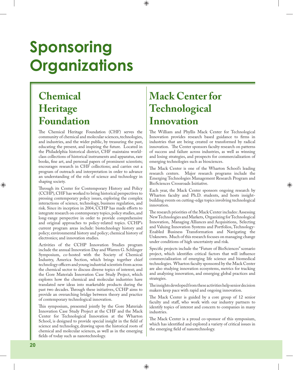# **Sponsoring Organizations**

### **Chemical Heritage Foundation**

The Chemical Heritage Foundation (CHF) serves the community of chemical and molecular sciences, technologies, and industries, and the wider public, by treasuring the past, educating the present, and inspiring the future. Located in the Philadelphia historical district, CHF maintains worldclass collections of historical instruments and apparatus, rare books, fine art, and personal papers of prominent scientists; encourages research in CHF collections; and carries out a program of outreach and interpretation in order to advance an understanding of the role of science and technology in shaping society.

Through its Center for Contemporary History and Policy (CCHP), CHF has worked to bring historical perspectives to pressing contemporary policy issues, exploring the complex interactions of science, technology, business regulation, and risk. Since its inception in 2004, CCHP has made efforts to integrate research on contemporary topics, policy studies, and long-range perspective in order to provide comprehensive and original approaches to policy-related topics. CCHP's current program areas include: biotechnology history and policy; environmental history and policy; chemical history of electronics; and innovation studies.

Activities of the CCHP Innovation Studies program include the annual Innovation Day and Warren G. Schlinger Symposium, co-hosted with the Society of Chemical Industry, America Section, which brings together chief technology officers and young industrial scientists from across the chemical sector to discuss diverse topics of interest; and the Gore Materials Innovation Case Study Project, which explores how the chemical and molecular industries have translated new ideas into marketable products during the past two decades. Through these initiatives, CCHP aims to provide an overarching bridge between theory and practice of contemporary technological innovation.

This symposium, presented jointly by the Gore Materials Innovation Case Study Project at the CHF and the Mack Center for Technological Innovation at the Wharton School, is designed to provide special insight in the field of science and technology, drawing upon the historical roots of chemical and molecular sciences, as well as in the emerging fields of today such as nanotechnology.

### **Mack Center for Technological Innovation**

The William and Phyllis Mack Center for Technological Innovation provides research based guidance to firms in industries that are being created or transformed by radical innovation. The Center sponsors faculty research on patterns of success and failure across industries, as well as winning and losing strategies, and prospects for commercialization of emerging technologies such as biosciences.

The Mack Center is one of the Wharton School's leading research centers. Major research programs include the Emerging Technologies Management Research Program and BioSciences Crossroads Initiative.

Each year, the Mack Center sponsors ongoing research by Wharton faculty and Ph.D. students, and hosts insightbuilding events on cutting-edge topics involving technological innovation.

The research priorities of the Mack Center includes: Assessing New Technologies and Markets, Organizing for Technological Innovation, Managing Alliances and Acquisitions, Selecting and Valuing Innovation Systems and Portfolios, Technology-Enabled Business Transformation and Navigating the Unknown. Much of this research focuses on managing change under conditions of high uncertainty and risk.

Specific projects include the "Future of BioSciences" scenario project, which identifies critical factors that will influence commercialization of emerging life science and biomedical technologies. Wharton faculty sponsored by the Mack Center are also studying innovation ecosystems, metrics for tracking and analyzing innovation, and emerging global practices and strategies.

The insights developed from these activities help senior decision makers keep pace with rapid and ongoing innovation.

The Mack Center is guided by a core group of 12 senior faculty and staff, who work with our industry partners to identify topics of interest and concern to companies in many industries.

The Mack Center is a proud co-sponsor of this symposium, which has identified and explored a variety of critical issues in the emerging field of nanotechnology.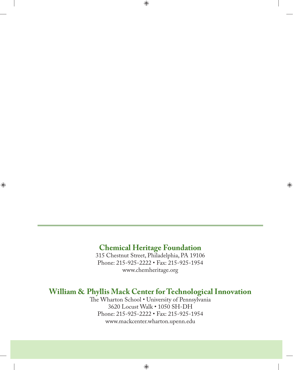#### **Chemical Heritage Foundation**

315 Chestnut Street, Philadelphia, PA 19106 Phone: 215-925-2222 • Fax: 215-925-1954 www.chemheritage.org

#### **William & Phyllis Mack Center for Technological Innovation**

The Wharton School . University of Pennsylvania 3620 Locust Walk • 1050 SH-DH Phone: 215-925-2222 • Fax: 215-925-1954 www.mackcenter.wharton.upenn.edu